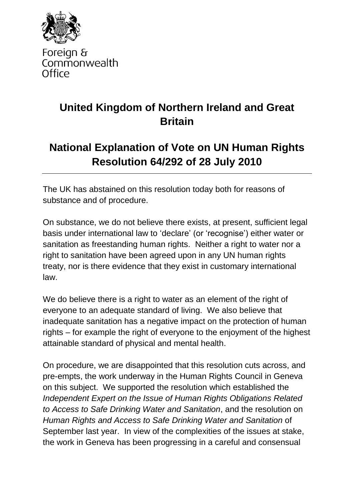

Foreign & Commonwealth Office

## **United Kingdom of Northern Ireland and Great Britain**

## **National Explanation of Vote on UN Human Rights Resolution 64/292 of 28 July 2010**

The UK has abstained on this resolution today both for reasons of substance and of procedure.

On substance, we do not believe there exists, at present, sufficient legal basis under international law to 'declare' (or 'recognise') either water or sanitation as freestanding human rights. Neither a right to water nor a right to sanitation have been agreed upon in any UN human rights treaty, nor is there evidence that they exist in customary international law.

We do believe there is a right to water as an element of the right of everyone to an adequate standard of living. We also believe that inadequate sanitation has a negative impact on the protection of human rights – for example the right of everyone to the enjoyment of the highest attainable standard of physical and mental health.

On procedure, we are disappointed that this resolution cuts across, and pre-empts, the work underway in the Human Rights Council in Geneva on this subject. We supported the resolution which established the *Independent Expert on the Issue of Human Rights Obligations Related to Access to Safe Drinking Water and Sanitation*, and the resolution on *Human Rights and Access to Safe Drinking Water and Sanitation* of September last year. In view of the complexities of the issues at stake, the work in Geneva has been progressing in a careful and consensual